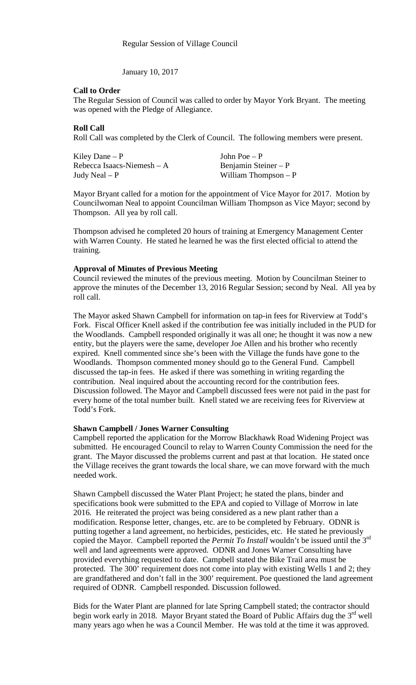January 10, 2017

### **Call to Order**

The Regular Session of Council was called to order by Mayor York Bryant. The meeting was opened with the Pledge of Allegiance.

### **Roll Call**

Roll Call was completed by the Clerk of Council. The following members were present.

| Kiley Dane $-P$             | John Poe $- P$        |
|-----------------------------|-----------------------|
| Rebecca Isaacs-Niemesh $-A$ | Benjamin Steiner – P  |
| Judy Neal $- P$             | William Thompson $-P$ |

Mayor Bryant called for a motion for the appointment of Vice Mayor for 2017. Motion by Councilwoman Neal to appoint Councilman William Thompson as Vice Mayor; second by Thompson. All yea by roll call.

Thompson advised he completed 20 hours of training at Emergency Management Center with Warren County. He stated he learned he was the first elected official to attend the training.

### **Approval of Minutes of Previous Meeting**

Council reviewed the minutes of the previous meeting. Motion by Councilman Steiner to approve the minutes of the December 13, 2016 Regular Session; second by Neal. All yea by roll call.

The Mayor asked Shawn Campbell for information on tap-in fees for Riverview at Todd's Fork. Fiscal Officer Knell asked if the contribution fee was initially included in the PUD for the Woodlands. Campbell responded originally it was all one; he thought it was now a new entity, but the players were the same, developer Joe Allen and his brother who recently expired. Knell commented since she's been with the Village the funds have gone to the Woodlands. Thompson commented money should go to the General Fund. Campbell discussed the tap-in fees. He asked if there was something in writing regarding the contribution. Neal inquired about the accounting record for the contribution fees. Discussion followed. The Mayor and Campbell discussed fees were not paid in the past for every home of the total number built. Knell stated we are receiving fees for Riverview at Todd's Fork.

#### **Shawn Campbell / Jones Warner Consulting**

Campbell reported the application for the Morrow Blackhawk Road Widening Project was submitted. He encouraged Council to relay to Warren County Commission the need for the grant. The Mayor discussed the problems current and past at that location. He stated once the Village receives the grant towards the local share, we can move forward with the much needed work.

Shawn Campbell discussed the Water Plant Project; he stated the plans, binder and specifications book were submitted to the EPA and copied to Village of Morrow in late 2016. He reiterated the project was being considered as a new plant rather than a modification. Response letter, changes, etc. are to be completed by February. ODNR is putting together a land agreement, no herbicides, pesticides, etc. He stated he previously copied the Mayor. Campbell reported the *Permit To Install* wouldn't be issued until the 3rd well and land agreements were approved. ODNR and Jones Warner Consulting have provided everything requested to date. Campbell stated the Bike Trail area must be protected. The 300' requirement does not come into play with existing Wells 1 and 2; they are grandfathered and don't fall in the 300' requirement. Poe questioned the land agreement required of ODNR. Campbell responded. Discussion followed.

Bids for the Water Plant are planned for late Spring Campbell stated; the contractor should begin work early in 2018. Mayor Bryant stated the Board of Public Affairs dug the  $3<sup>rd</sup>$  well many years ago when he was a Council Member. He was told at the time it was approved.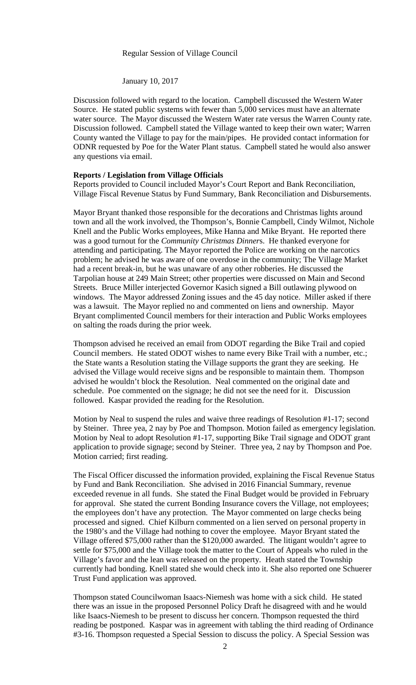## Regular Session of Village Council

January 10, 2017

Discussion followed with regard to the location. Campbell discussed the Western Water Source. He stated public systems with fewer than 5,000 services must have an alternate water source. The Mayor discussed the Western Water rate versus the Warren County rate. Discussion followed. Campbell stated the Village wanted to keep their own water; Warren County wanted the Village to pay for the main/pipes. He provided contact information for ODNR requested by Poe for the Water Plant status. Campbell stated he would also answer any questions via email.

### **Reports / Legislation from Village Officials**

Reports provided to Council included Mayor's Court Report and Bank Reconciliation, Village Fiscal Revenue Status by Fund Summary, Bank Reconciliation and Disbursements.

Mayor Bryant thanked those responsible for the decorations and Christmas lights around town and all the work involved, the Thompson's, Bonnie Campbell, Cindy Wilmot, Nichole Knell and the Public Works employees, Mike Hanna and Mike Bryant. He reported there was a good turnout for the *Community Christmas Dinner*s. He thanked everyone for attending and participating. The Mayor reported the Police are working on the narcotics problem; he advised he was aware of one overdose in the community; The Village Market had a recent break-in, but he was unaware of any other robberies. He discussed the Tarpolian house at 249 Main Street; other properties were discussed on Main and Second Streets. Bruce Miller interjected Governor Kasich signed a Bill outlawing plywood on windows. The Mayor addressed Zoning issues and the 45 day notice. Miller asked if there was a lawsuit. The Mayor replied no and commented on liens and ownership. Mayor Bryant complimented Council members for their interaction and Public Works employees on salting the roads during the prior week.

Thompson advised he received an email from ODOT regarding the Bike Trail and copied Council members. He stated ODOT wishes to name every Bike Trail with a number, etc.; the State wants a Resolution stating the Village supports the grant they are seeking. He advised the Village would receive signs and be responsible to maintain them. Thompson advised he wouldn't block the Resolution. Neal commented on the original date and schedule. Poe commented on the signage; he did not see the need for it. Discussion followed. Kaspar provided the reading for the Resolution.

Motion by Neal to suspend the rules and waive three readings of Resolution #1-17; second by Steiner. Three yea, 2 nay by Poe and Thompson. Motion failed as emergency legislation. Motion by Neal to adopt Resolution #1-17, supporting Bike Trail signage and ODOT grant application to provide signage; second by Steiner. Three yea, 2 nay by Thompson and Poe. Motion carried; first reading.

The Fiscal Officer discussed the information provided, explaining the Fiscal Revenue Status by Fund and Bank Reconciliation. She advised in 2016 Financial Summary, revenue exceeded revenue in all funds. She stated the Final Budget would be provided in February for approval. She stated the current Bonding Insurance covers the Village, not employees; the employees don't have any protection. The Mayor commented on large checks being processed and signed. Chief Kilburn commented on a lien served on personal property in the 1980's and the Village had nothing to cover the employee. Mayor Bryant stated the Village offered \$75,000 rather than the \$120,000 awarded. The litigant wouldn't agree to settle for \$75,000 and the Village took the matter to the Court of Appeals who ruled in the Village's favor and the lean was released on the property. Heath stated the Township currently had bonding. Knell stated she would check into it. She also reported one Schuerer Trust Fund application was approved.

Thompson stated Councilwoman Isaacs-Niemesh was home with a sick child. He stated there was an issue in the proposed Personnel Policy Draft he disagreed with and he would like Isaacs-Niemesh to be present to discuss her concern. Thompson requested the third reading be postponed. Kaspar was in agreement with tabling the third reading of Ordinance #3-16. Thompson requested a Special Session to discuss the policy. A Special Session was